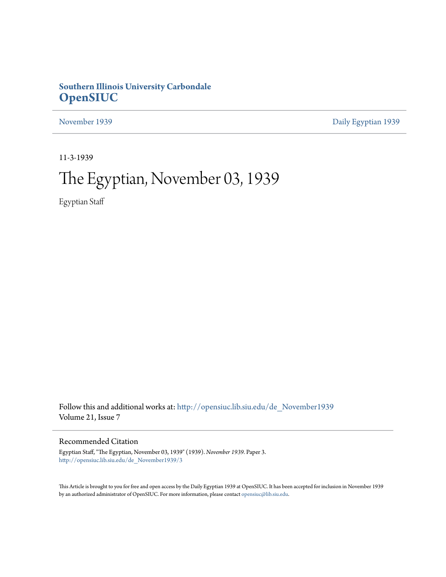# **Southern Illinois University Carbondale [OpenSIUC](http://opensiuc.lib.siu.edu?utm_source=opensiuc.lib.siu.edu%2Fde_November1939%2F3&utm_medium=PDF&utm_campaign=PDFCoverPages)**

[November 1939](http://opensiuc.lib.siu.edu/de_November1939?utm_source=opensiuc.lib.siu.edu%2Fde_November1939%2F3&utm_medium=PDF&utm_campaign=PDFCoverPages) [Daily Egyptian 1939](http://opensiuc.lib.siu.edu/de_1939?utm_source=opensiuc.lib.siu.edu%2Fde_November1939%2F3&utm_medium=PDF&utm_campaign=PDFCoverPages)

11-3-1939

# The Egyptian, November 03, 1939

Egyptian Staff

Follow this and additional works at: [http://opensiuc.lib.siu.edu/de\\_November1939](http://opensiuc.lib.siu.edu/de_November1939?utm_source=opensiuc.lib.siu.edu%2Fde_November1939%2F3&utm_medium=PDF&utm_campaign=PDFCoverPages) Volume 21, Issue 7

# Recommended Citation

Egyptian Staff, "The Egyptian, November 03, 1939" (1939). *November 1939.* Paper 3. [http://opensiuc.lib.siu.edu/de\\_November1939/3](http://opensiuc.lib.siu.edu/de_November1939/3?utm_source=opensiuc.lib.siu.edu%2Fde_November1939%2F3&utm_medium=PDF&utm_campaign=PDFCoverPages)

This Article is brought to you for free and open access by the Daily Egyptian 1939 at OpenSIUC. It has been accepted for inclusion in November 1939 by an authorized administrator of OpenSIUC. For more information, please contact [opensiuc@lib.siu.edu.](mailto:opensiuc@lib.siu.edu)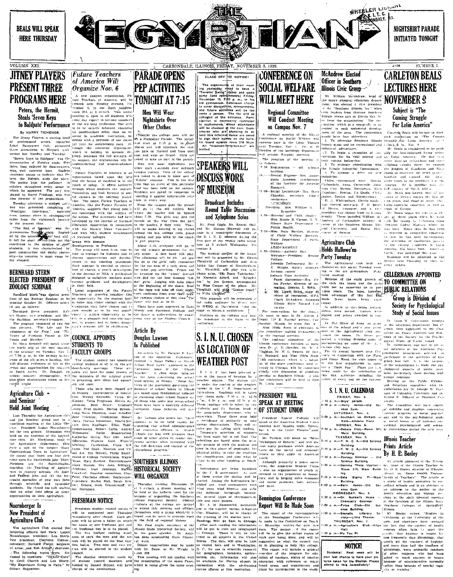

The Jinny Players, a touring band (see<br>Section 1 accountment material of the proposition, the propositional accors, featuring in<br>each constraint of the distribution of professional accors, featuring it<br>can be electric in

There. (one and the state is the state of the state of the state of the state of the state is the state of the state of the state of the state of the state of the state of the state of the state is the state of the state

# **ELECTED PRESIDENT OF** ZOOLOGY SEMINAR

**ZOOLOGY SEMINAR** (2012) LOGY SEMINARY (2012) LOGY SERVINARY (2012) LOGY ARE RELATED FOR THE PRESSURE OF A REPORT OF THE STATE IN PRESSURE THE STATE IN PRESSURE THE STATE IN PRESSURE THE MELTING ORDER SERVICE SERVICE SERVI

el are as follows:  $\frac{1}{2}$ ,  $\frac{1}{2}$ ,  $\frac{1}{2}$ ,  $\frac{1}{2}$ ,  $\frac{1}{2}$ ,  $\frac{1}{2}$ ,  $\frac{1}{2}$ ,  $\frac{1}{2}$ ,  $\frac{1}{2}$ ,  $\frac{1}{2}$ ,  $\frac{1}{2}$ ,  $\frac{1}{2}$ ,  $\frac{1}{2}$ ,  $\frac{1}{2}$ ,  $\frac{1}{2}$ ,  $\frac{1}{2}$ ,  $\frac{1}{2}$ ,  $\frac{1}{2}$ ,  $\frac{$ 

New President of the nonminated next Turbucky atternative the tect in the control in the control of the part of the control in the section of the section of the section of the section of the section of the section of the

A contract the college men will put<br>
of a Nightshirt Parade. The parade<br>
will start at 7:15 p. m. in Airce<br>
places and will approach the can<br>
Will approach the can pus gate on Normal and from both<br>pus gate on Normal and from both east and west on Grand. asked to take no part in the parade

time that an event of this particular kind has been held on the campus students are asked to cooperate in<br>"uarding it against unfavorable critician in every way.<br>From the campus gate the parade

Girls an

2 From the campus pate the paralon and all go to the old at<br>hierte the bonder will be lighted in the bond 1:30. The griss may join the<br>short 1:30. The griss may join the game<br>was room the way from the game<br>to the bonder, i

to the sournal of NEA, a publication<br>|designed to enlighten teachers about<br>|durrent problems and development

pain insight as to its real signification.<br>Crance is golden opportunity to be<br>print in a pleasunt and concrete mate Weedy and President Paleon by Deam<br>- The dance is underwritten by anani-<br>- The dance is underwritten by anani-

# 

CLASE OFF 242 NOTICE:<br>
The exphanoring at their mest-<br>
The experiment of the second standard and state of the second state of the second state of the second state of the second state of the second state of the second state "nisetcen-forty-two-ers"

Consequence of the contract in the presence of the contract of the contract of the contract of the contract of the contract of the contract of the contract of the contract of the contract of the contract of the contract of **SPEAKERS WILL OF MUSEUM** 

# **Broadcast Includes** Round Table Discussion and Xylophone Solos

al some one the way from the gas<br>in the plane of the various of the control of the bonding is the plane of<br>the small of the bonding in the gas of the small of the small of the<br>control of the small of the control of the sm

the radio andience by direct wire<br>to WEBQ at Harrisburg, from the stage in Shevo, k auditorium. Students on the campus may

PRESIDENT WILL

and local.

minus City, user and the same of the mean of the mean of the mean and the mean of the mean of the special and the same of the special of the special circuit of the special circuit of the special circuit of the special circ

A regional meeting of the initial<br>conference on Social Welfare will convene here in the Little Theatre<br>convene here in the Little Theatre<br>rext Tuesday, Nov. 7. Dr. it. D<br>Dowden of the sociology department<br>will preside Tue The program of the meeting is

follows

Regional Committee Will Conduct Meeting

on Campus Nov. 7

A regional meeting of the Illis. 

weitare.<br>ADJO#RNMENT. ADJOURNMENT. [HOLDS HALLOWE E

Holds Hallowe'en

FROM Distribution Final, 110003 **EXAMPLES**<br>
Notential was pointed this year intention with the Final contained this year. The example of the state of the state of the state of the state of the state of the state of the st

# S. I. N. U. CALENDAR

 $0.144$  V, Using the C-1<br>
FRIDAY, Nov. 3.<br>
FRIDAY, Nov. 3.<br>  $8.50 \text{ p. m} - Boyx' \text{ parade} - O(d \text{ max} - O(d \text{ max} - O(d \text{ max} - O(d \text{ max} - O(d \text{ max} - \text{ max} - \text{ max} - \text{ max} - \text{ max} - \text{ max} - \text{ max} - \text{ max} - \text{ max} - \text{ max} - \text{ max} - \text{ max} - \text{ max} - \text{ max} - \text{ max} - \text{ max} - \text{ max} - \$ 

MONDAY Nov. 6. m.-Debate Club-Room Main Building

Main Building.<br>
TUESDAY, Nev. 5.<br>
7:15 p. m.—Y. M. C. A.—Old Science<br>
8uilding.<br>
7:15 p. m.—X. C. A.—Old Science<br>
8uilding.<br>
7:30 p. m.—Zoology Seminar — Old Science<br>
8uilding.<br>
8uilding.

Science Building.

Science Building.<br>7:30 p. m.—Socratic Lite  $5c$ Literary

 $\begin{array}{r} \text{7:30 p. m.} \longrightarrow \text{Socritic} & \text{Litterary} \\ \text{2.50 p. m.} \longrightarrow \text{Coty--Littic Theater.} \\ \hline \end{array}$ <br>
THURSDAY, Nov. 7.<br>
T:30 p. m.  $\longrightarrow \text{Halt.} \\ \begin{array}{r} \text{Halt.} \\ \text{7:30 p. m.} \longrightarrow \text{Halt.} \\ \end{array}$ 

NOTICE!

Students! Next week will be<br>your last chance to have your plcturca taken for the Obcilsk, Please<br>attend to this immediately! For Latin America"

FOR Letter and the set of the comparison of the control of the set of the set of the control of the control of the control of the control of the control of the control of the control of the control of the control of the c

For the most and the most and the state of the most and the state in the base of the state in the base of the state of the state of the state of the state of the state of the state of the state of the state of the state o The Twenty continues in the Contractor of the Contractor of the Contractor Contractor Contractor Contractor State State Contractor Statement Contractor Statement Contractor Statement Contractor (Contractor Statement Contra

human' relations.<br>
Serving on the Pablic Evhibite<br>
cad Relations committee with Dr.<br>
cellermann are Dr. George W. Hart-<br>
nen of Columbia University and Dr.<br>
Ernest R. Hihard of Stanford University<br>
versity

Ernest R. Higard of Stanford Case<br>
(versity, The countilities will have charge<br>  $\begin{bmatrix} 0^t & \text{exhibhs} & \text{and} & \text{display} \\ \text{expubhs} & \text{in} & \text{non-prime} \\ \text{current} & \text{propress} & \text{in} & \text{non-edge} \\ \text{over} & \text{out} & \text{in} & \text{in} & \text{in} \\ \end{bmatrix}$ <br>  $\begin{bmatrix} 0^t & \text{for all} & \text$ cational, psychological, and scients<br>In conventions daring the acxi vest

# Illinois Teacher Prints Article By H. E. Bosley

Science Building. An article appeared in the NAvelu (200 p. m. — Cammar Theta Upsilon — 10. ISSN of the Diliton's Teacher in the specific term of the Ultimate Teacher in the Science of Victorian Teacher (1966) and the Sci An article appeared in the Noven of the faculties of the illinois State

SPEAK AT MEETING OF STUDENT UNION  $\left\{\begin{array}{ll} \text{Present} & \text{Roseae} & \text{Fullian} & \text{will} \\ \text{speeds at the American Student Union} & \\ \text{meeting next Monday might. Now:} \\ \text{ber 6. in the Little Thearer and} \\ \end{array}\right\} \begin{array}{ll} 2:00 \text{ p.} \\ \text{Newton} \\ \text{Per 7. in the Little Thearer and} \\ \end{array}$ tornum<br>| Mr. Puiliam will speak on "Some on common will also<br>reasonance of Reform," and will dis-<br>reasonance problems which Americal<br>faces on the social and comomic-<br>fronts as they apply to American

vanth.<br>
Though primarily a peace move-<br>
Trent, the American Student Union<br>  $\begin{bmatrix} x & \text{also an organization of youth in:} \\ x & \text{two an organization of the proportion} \\ \text{therefore} \end{bmatrix}$ <br>  $\begin{bmatrix} x & \text{arept} \\ x & \text{arept} \end{bmatrix}$  is the promotion of denote<br>  $\begin{bmatrix} x & \text{arept} \\ x & \text{arept} \end{bmatrix}$  and

Bennington Conference 'Report Will Be Made Soon The report of the representatives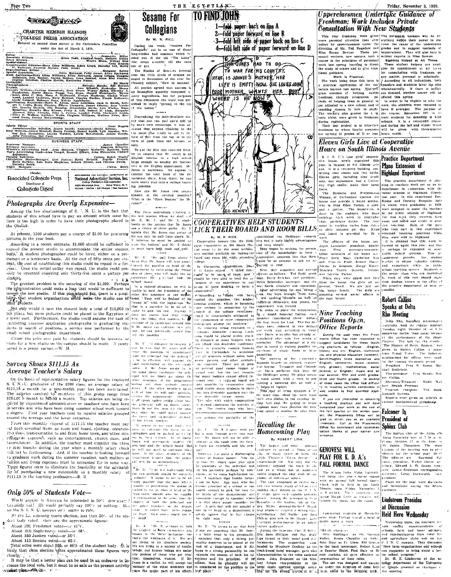

From this monthly stipend of 3111.15 the teacher must pay  $\begin{bmatrix} 1 & \text{ms} & \text{the} & \text{cm} & \text{cm} & \text{cm} & \text{cm} & \text{cm} & \text{cm} & \text{cm} & \text{cm} & \text{cm} & \text{cm} & \text{cm} & \text{cm} \\ 0 & \text{free} & \text{reson} & \text{reson} & \text{cm} & \text{cm} & \text{cm} & \text{cm} & \text{cm} & \text{cm} & \text{cm} & \text{cm$ Figure 1. The contrast in terms in the case of the main contrast of the conduction of the conduction of the conduction of the conduction of the conduction of the conduction of the conduction of the conduction of the condu ultion and living expenses must be accounted for in some vay.<br>
These figures seem to eliminate the feasibility or the advisabil-<br>  $\epsilon_{\text{M}r}$   $\gamma_{\text{C}}$  or not nutleasting with the second to eliminate the feasibility of

# Only 50% of Students Vote-

Would anyone in America be interested in 50% democracy Certainly not! He would prebably say 106% or nothing. But on the S. I. N. U. can<br>pus  $o0\%$  seems to rule. At the Londcoming queen election, less than 50% of the stu-

deal body voted. Here are the approximate figures:<br>About 390 Freshmen voted--ar 41%.

- About 300 Sophemores voted-or 48%.<br>About 150 Juniors voted-or 56%.
- 
- About 140 Seniors veted-or 65%.

Total votes were about  $935$ , or  $46\%$  of the student body. At is likely, that class election when approximated these figures very closely, it may be that a better plan can be used in an endeavor to in-

crease the total vote, but it must be as safe as the present activity erance one commence, one .

a pabl upable of performing the duffes at<br>ached to the position of head of the

is deleted to the particle of the definition of first definition of the capability of commanding sat the same time the relational same time the relation of both the periodic same definition of the depart of the depart of t

M. X: "Me. Z, perhaps to hold<br>the respect of Both co-workers and<br>tosses is the "Bleat technique, but<br>that's the wonkness of it. We are

**TO FIND JOHN** 1-fold paper back on line A<br>2-fold paper forward on line B 3-fold left side of paper back on line C 4-fold left side of paper forward on line D



ts ົພັ

With you **Homecoming** Play hat a non "cannot serve two mus".<br>ers." Mr Jones will not be able on By ROBERT LINK

"Mr. X. I agree

allivate at the same time the fave

largest and most concern

attivate at the same that at space and is perfect and unit. The largest and unit. The same is considered at the same of the same of the same of the same of the same of the same of the same of the same of the same of the s

All  $N = N$ . And  $N = N$  and the second in the term is the two states of the High states in the second of the considered in the second in the second in the second in the second in the second in the second in the second in the

Friday, November 3, 1939 Upperclaesmen Undertake Guidance of Freshman: Work Includes Private **Consultation With New Students** 

L'AFRES EN EN ESPECIE DE PERSON DE PERSON DE CONFINISTE DE CONFINISTE DE CONFINENTI DE CONFINENTI DE CONFINENTI DE CONFINENTI DE CONFINENTI DE CONFINENTI DE CONFINENTI DE CONFINENTI DE CONFINENTI DE CONFINENTI DE CONFINEN

We have getting the main of the state and the state of the state of the state of the state of the properties are the state of the state of the state of the state of the state of the state of the state of the state of the

Eleven Girls Live at Cooperative

**CORPHERY LIRED**<br>
The Explana City of the Alpha Phi<br>
The Explana City of the Lipha Phi<br>
Prima Detone 21, at the Bone in<br>
Prima Detone 21, alpha Phi<br>
Philosophe of the needed year 38-19<br>
Prime Detection Find West to  $e^{i\phi$ 

president. Plans for the year were disenssed<br>and formulated among the fifteen and  $\frac{16}{16}$ .<br>Thembers.

# **Lindstrom Presides** at Discussion **Held Here Wednesday**

Wednesday night, the Southern if

nots county superintendents of<br>ochools, farm and home advisors,

eta, the Placements Office will be<br>algorithment of the Placements<br>conditions of the Placements<br>Office for encollment and recommen-<br>office for encollment and recommen-<br>visition blanks at your carrier con-<br>visitions because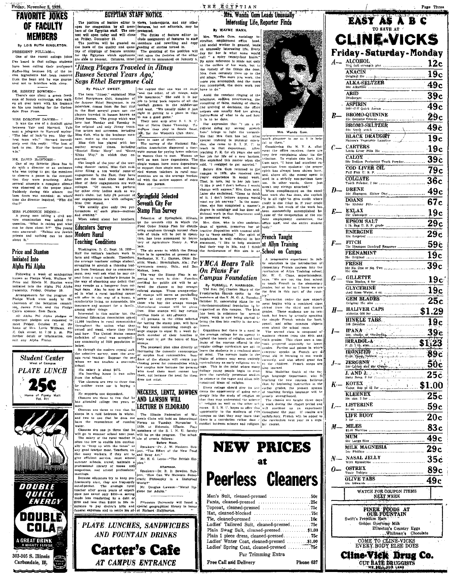# Friday, November 3, 1939 **FAVORITE IOKES** OF FACULTY **MEMBERS**

## By LOIS RUTH SINGLETON PRESIDENT PULLIAM-

One of the recent college joke

I've heard is that college student been calling their professors nave been cannot can be wrote as the ac-<br>the ingredients had been removed<br>from the bean and he was guaranteed not to interfere with sleep.

ROBERT BOWDEN-There's one about a green fresh man of Scotch extraction who walk ed all over town with his trouses dola Free Proce

# MISS DOROTHY DAVIES

MISS DOROTHY DAVIES-<br>It was the even of a football game<br>In two the even of a football game<br>between Yale and Harvard, Yale<br>sent a lelegram to Harvard saying "The heat of luck" to you. May the<br>integral in whi." Harvard innee

MR. DAVID McINTOSH—<br>One of my favorite jokes has to<br>do with a director of an orchestra<br>who was trying to get the members<br>to observe a pause in the composition they were practicing. After tion they were practicing. After<br>several attempts a complete silence several at the property such that the property state is spince.<br>Suddenly during this silence the bass drum was sounded; at which time the director inquired, "Who did

# MISS FLORENCE DENNY-

MES PLORENCE DENNiv-1 [formations at each space of the sexplane of the sexplane of the sexplane of the sexplane of the sexplane of the sexplane of the space of the space of the space of the space of the space of the space priesis u<br>about it.



**EGYPTIAN STAFF NOTICE** The position of feature editor is views, bookrooports, and any other<br>upon for competition by all mone-jeastings, but not editorials, may be<br>bers of the Egyptian staff. The con- pretented.<br>test will open today and will clo

The position of feature editor is views, when a selection is a position of the Epythian staff. The con-<br>
least of the Epythian staff. The con-<br>
least of feature editor in-<br>
ten of the Depthian staff. The con-<br>
presented.<br>

# Which and our engagements are with colleges," Springfield Selected

megazines, and attend professional<br>meetings.<br>Because educators try to keep pro-<br>gussionally alert, they are frequently<br>cutof-pocket. The average rural<br>teacher after geven years of experi-<br>cural anity stifu<sub>d</sub> assing cratic Philosophy in a Disturbed Mr. Douglas Lawson-"Metal Hy<br>glene for Adults."

ence has saved only \$350-a saving

**Carter's Cafe** 

AT CAMPUS ENTRANCE



THE ECYPTIAN Mrs. Wanda Gum Leads Unusually Interesting Life, Reporter Finds



**Example Screene and Pearls and the set of the set of the set of the set of the set of the set of the set of the set of the set of the set of the set of the set of the set of the set of the set of the set of the set of th** 





**MILK MAGNESIA**  $29c$ N<sub>-</sub> NASAL JELLY  $35<sub>c</sub>$  $0 -$  OSTREX 89<sub>c</sub> **OLIVE TABS**  $49c$ WATCH FOR COUPON ITEMS NEXT WEEK

# FINER FOODS AT OUR FOUNTAIN Swift's Premilim Ham Golden Guernsey Milk

Etherton's Country Eggs

COME TO CLINE-VICKS<br>EVERY BODY ELSE DOES

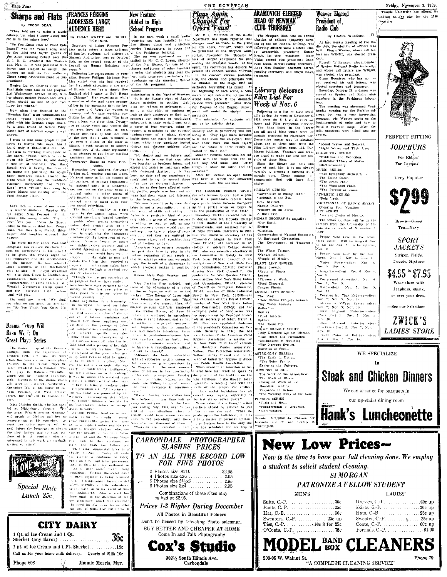Page Four

# **Sharps and Flats FRANCES PERKINS** By PEGGY DEAN.

They told me to write a music AUDIENCE HERE



1 Qt. of Ice Cream and 1 Qt.

Phone  $608$ 

**CITY DAIRY** 

**New Feature ADDRESSES LARGE** 

real streams a ranno and links in a stream of the strength of the treated to the reserve a minimum of third respective to the strength strength and the strength of the strength of the strength of the strength of the stren when provides a little subsidence<br>to fail back sit in the event of loss<br>of employment. Also a start has<br>been made in the direction of old e assistance, which will climinat the need for old folks' homes after



THE EGYPTIAN

Plans Again

**Changed For** 

Opera Faust



ARAMOVICH ELECTED **HEAD OF NEWMAN CLUB THURSDAY** 

The Newman Club held its annual

**Weaver** Elected

By HAZEL WEEDON. JI

President of

Radio Club

**Library Releases** Film List For Week of Nov. 6

Descriptive matter may be obtained clout any of these films from  $the$ cloud any of these films from the  $\Gamma$ <br>Film Library office, room 102, Pur-<br>kinson building. Teachers and clubs.<br>kinson building. Teachers and clubs.<br>since the library has only one<br>alter the library has only one of<br>comp of certain time. Those making an-<br>rangements first will have first  $choice$ PRIMARY SERIES:

PRIMARY SERIES:<br>"Adventures of Bunny Rabbit.<br>"Animais of the Zoo.<br>Gray Squirrel.<br>Navajo Children.<br>"Poultry on the Farm.<br>A Boat Trip.

**IUMAN GEOGRAPHY SERIES:** 

\*Our Earth

Clothing.

\*Clotning.<br>Conservation of Natural Resources.<br>\*A Backward Civilization.<br>The Development of Transporte. on.<br>The Wheat Farmer, \*Navajo Indians.<br>\*People of Mexico.

People of *Mexico*,<br>PLANT LIFE SERIES:<br>Plant Growth.<br>Roots of Pinuts.<br>Leaves.<br>Flowers at Work.

\*Seed Dispersal.

Fungus Plants NIMAL LIFE SERIES:

NIMAL LIFE SERIES:<br>The Fror.<br>\*How Nature Projects Animale<br>Thy Water Animals.<br>Butterflies. Beetles.<br>\*Pond lusects.

 $\cdot$ Nov

Spiders

opicers.<br>The House Fly.

The EDISSE FOR SERIES:<br>Body Defenses Against Disease<br>The Heart and Circulation.<br>\*Nechanisms of Breathing.

\*The Nervous System.<br>Digestion of Foods. STRONOMY SERIES:

The Earth in Motion.<br>The Earth in Motion.<br>The Solar Family.<br>Exploring the Universe.

GEOLOGY SERIES:

of the Land

PHYSICS SERIES \*Fuels and Heat

\*Electrostatics.



\*Fundamentals of Acoustics Stopping -in Chicago **New Low Prices-**

Now is the time to have your fall cleaning done. We employ a student to solicit student cleaning.

**MEN'S** 

| .                                                   | --------                                          |
|-----------------------------------------------------|---------------------------------------------------|
| Suits, C.-P. 50e                                    |                                                   |
|                                                     | Skirts, C.-P. 30e u                               |
|                                                     | Hats, C.-B. $\dots \dots \dots \dots \dots 25c$ u |
| Sweaters, C.-P. $\dots \dots \dots 25c$ up          | Sweater, C.-P.  s25c u                            |
| Ties, C. P. $\dots \dots \dots \dots 10c$ 3 for 25c | Coats, C.P. $\dots \dots \dots \dots \dots 60c$ u |
| $O'Coats, C.-P, \ldots, \ldots, \ldots, 75c$        | Formals, C.-P. $\dots \dots \dots \dots$ . \$1.0  |

# \$799 Tan-Navy



WE SPECIALIZE In

**Steak and Chicken Dinners** We can arrange for banquets in





## Friday, November 3, 1939 Temple University has offered its stadium as the site for the 1940 Organiples



**MODEL BAND CLEANERS** 

Phone 79

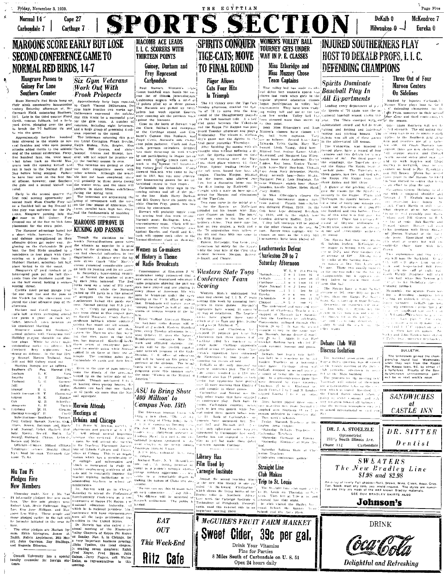

Fine for Parties 8 Miles South of Carbondale on U.S. 51

Open 24 hours daily

**Delightful and Refreshing**